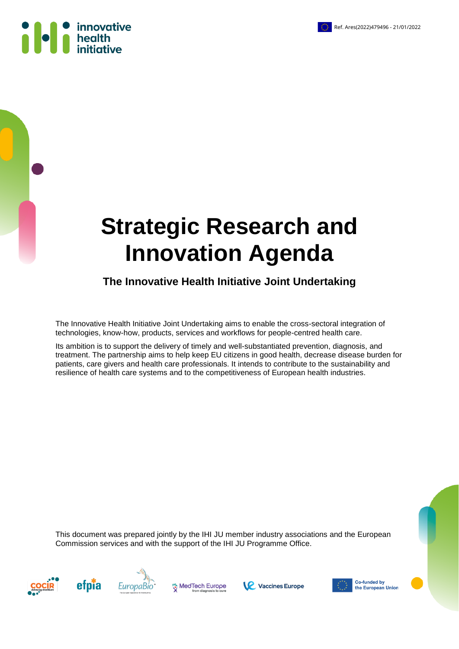



**The Innovative Health Initiative Joint Undertaking**

The Innovative Health Initiative Joint Undertaking aims to enable the cross-sectoral integration of technologies, know-how, products, services and workflows for people-centred health care.

Its ambition is to support the delivery of timely and well-substantiated prevention, diagnosis, and treatment. The partnership aims to help keep EU citizens in good health, decrease disease burden for patients, care givers and health care professionals. It intends to contribute to the sustainability and resilience of health care systems and to the competitiveness of European health industries.

This document was prepared jointly by the IHI JU member industry associations and the European Commission services and with the support of the IHI JU Programme Office.









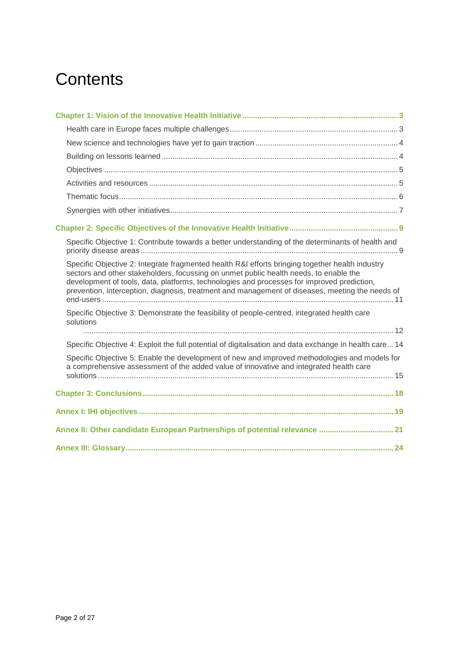# **Contents**

| Specific Objective 1: Contribute towards a better understanding of the determinants of health and                                                                                                                                                                                                                                                                                         |
|-------------------------------------------------------------------------------------------------------------------------------------------------------------------------------------------------------------------------------------------------------------------------------------------------------------------------------------------------------------------------------------------|
| Specific Objective 2: Integrate fragmented health R&I efforts bringing together health industry<br>sectors and other stakeholders, focussing on unmet public health needs, to enable the<br>development of tools, data, platforms, technologies and processes for improved prediction,<br>prevention, interception, diagnosis, treatment and management of diseases, meeting the needs of |
| Specific Objective 3: Demonstrate the feasibility of people-centred, integrated health care<br>solutions                                                                                                                                                                                                                                                                                  |
|                                                                                                                                                                                                                                                                                                                                                                                           |
| Specific Objective 4: Exploit the full potential of digitalisation and data exchange in health care 14                                                                                                                                                                                                                                                                                    |
| Specific Objective 5: Enable the development of new and improved methodologies and models for<br>a comprehensive assessment of the added value of innovative and integrated health care                                                                                                                                                                                                   |
|                                                                                                                                                                                                                                                                                                                                                                                           |
|                                                                                                                                                                                                                                                                                                                                                                                           |
| Annex II: Other candidate European Partnerships of potential relevance  21                                                                                                                                                                                                                                                                                                                |
|                                                                                                                                                                                                                                                                                                                                                                                           |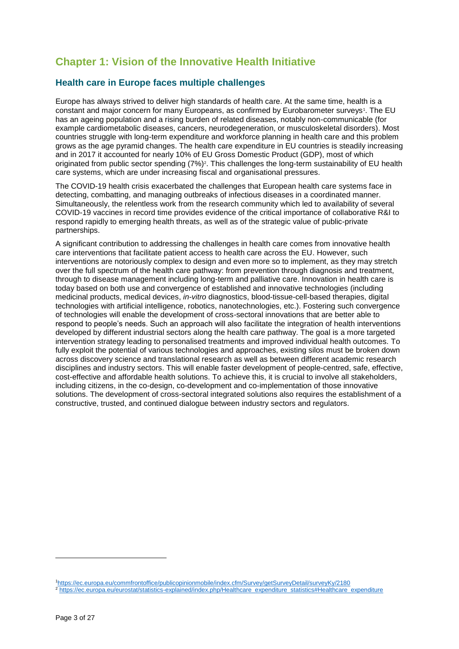# <span id="page-2-0"></span>**Chapter 1: Vision of the Innovative Health Initiative**

## <span id="page-2-1"></span>**Health care in Europe faces multiple challenges**

Europe has always strived to deliver high standards of health care. At the same time, health is a constant and major concern for many Europeans, as confirmed by Eurobarometer surveys<sup>1</sup>. The EU has an ageing population and a rising burden of related diseases, notably non-communicable (for example cardiometabolic diseases, cancers, neurodegeneration, or musculoskeletal disorders). Most countries struggle with long-term expenditure and workforce planning in health care and this problem grows as the age pyramid changes. The health care expenditure in EU countries is steadily increasing and in 2017 it accounted for nearly 10% of EU Gross Domestic Product (GDP), most of which originated from public sector spending (7%)<sup>2</sup>. This challenges the long-term sustainability of EU health care systems, which are under increasing fiscal and organisational pressures.

The COVID-19 health crisis exacerbated the challenges that European health care systems face in detecting, combatting, and managing outbreaks of infectious diseases in a coordinated manner. Simultaneously, the relentless work from the research community which led to availability of several COVID-19 vaccines in record time provides evidence of the critical importance of collaborative R&I to respond rapidly to emerging health threats, as well as of the strategic value of public-private partnerships.

A significant contribution to addressing the challenges in health care comes from innovative health care interventions that facilitate patient access to health care across the EU. However, such interventions are notoriously complex to design and even more so to implement, as they may stretch over the full spectrum of the health care pathway: from prevention through diagnosis and treatment, through to disease management including long-term and palliative care. Innovation in health care is today based on both use and convergence of established and innovative technologies (including medicinal products, medical devices, *in-vitro* diagnostics, blood-tissue-cell-based therapies, digital technologies with artificial intelligence, robotics, nanotechnologies, etc.). Fostering such convergence of technologies will enable the development of cross-sectoral innovations that are better able to respond to people's needs. Such an approach will also facilitate the integration of health interventions developed by different industrial sectors along the health care pathway. The goal is a more targeted intervention strategy leading to personalised treatments and improved individual health outcomes. To fully exploit the potential of various technologies and approaches, existing silos must be broken down across discovery science and translational research as well as between different academic research disciplines and industry sectors. This will enable faster development of people-centred, safe, effective, cost-effective and affordable health solutions. To achieve this, it is crucial to involve all stakeholders, including citizens, in the co-design, co-development and co-implementation of those innovative solutions. The development of cross-sectoral integrated solutions also requires the establishment of a constructive, trusted, and continued dialogue between industry sectors and regulators.

<sup>1</sup><https://ec.europa.eu/commfrontoffice/publicopinionmobile/index.cfm/Survey/getSurveyDetail/surveyKy/2180>

<sup>&</sup>lt;sup>2</sup> [https://ec.europa.eu/eurostat/statistics-explained/index.php/Healthcare\\_expenditure\\_statistics#Healthcare\\_expenditure](https://ec.europa.eu/eurostat/statistics-explained/index.php/Healthcare_expenditure_statistics#Healthcare_expenditure)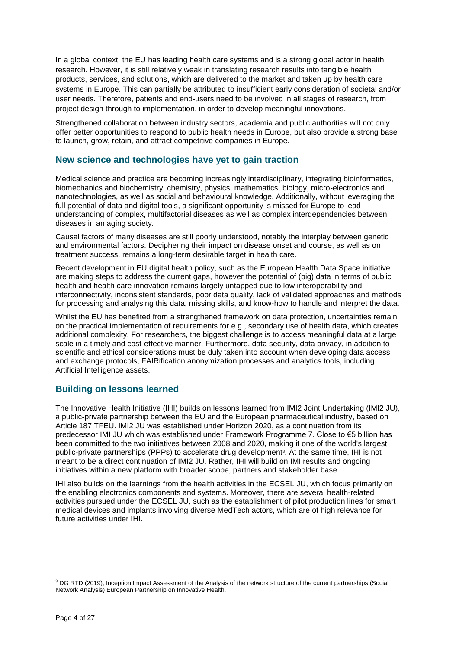In a global context, the EU has leading health care systems and is a strong global actor in health research. However, it is still relatively weak in translating research results into tangible health products, services, and solutions, which are delivered to the market and taken up by health care systems in Europe. This can partially be attributed to insufficient early consideration of societal and/or user needs. Therefore, patients and end-users need to be involved in all stages of research, from project design through to implementation, in order to develop meaningful innovations.

Strengthened collaboration between industry sectors, academia and public authorities will not only offer better opportunities to respond to public health needs in Europe, but also provide a strong base to launch, grow, retain, and attract competitive companies in Europe.

## <span id="page-3-0"></span>**New science and technologies have yet to gain traction**

Medical science and practice are becoming increasingly interdisciplinary, integrating bioinformatics, biomechanics and biochemistry, chemistry, physics, mathematics, biology, micro-electronics and nanotechnologies, as well as social and behavioural knowledge. Additionally, without leveraging the full potential of data and digital tools, a significant opportunity is missed for Europe to lead understanding of complex, multifactorial diseases as well as complex interdependencies between diseases in an aging society.

Causal factors of many diseases are still poorly understood, notably the interplay between genetic and environmental factors. Deciphering their impact on disease onset and course, as well as on treatment success, remains a long-term desirable target in health care.

Recent development in EU digital health policy, such as the European Health Data Space initiative are making steps to address the current gaps, however the potential of (big) data in terms of public health and health care innovation remains largely untapped due to low interoperability and interconnectivity, inconsistent standards, poor data quality, lack of validated approaches and methods for processing and analysing this data, missing skills, and know-how to handle and interpret the data.

Whilst the EU has benefited from a strengthened framework on data protection, uncertainties remain on the practical implementation of requirements for e.g., secondary use of health data, which creates additional complexity. For researchers, the biggest challenge is to access meaningful data at a large scale in a timely and cost-effective manner. Furthermore, data security, data privacy, in addition to scientific and ethical considerations must be duly taken into account when developing data access and exchange protocols, FAIRification anonymization processes and analytics tools, including Artificial Intelligence assets.

## <span id="page-3-1"></span>**Building on lessons learned**

The Innovative Health Initiative (IHI) builds on lessons learned from IMI2 Joint Undertaking (IMI2 JU), a public-private partnership between the EU and the European pharmaceutical industry, based on Article 187 TFEU. IMI2 JU was established under Horizon 2020, as a continuation from its predecessor IMI JU which was established under Framework Programme 7. Close to €5 billion has been committed to the two initiatives between 2008 and 2020, making it one of the world's largest public-private partnerships (PPPs) to accelerate drug development<sup>3</sup>. At the same time, IHI is not meant to be a direct continuation of IMI2 JU. Rather, IHI will build on IMI results and ongoing initiatives within a new platform with broader scope, partners and stakeholder base.

IHI also builds on the learnings from the health activities in the ECSEL JU, which focus primarily on the enabling electronics components and systems. Moreover, there are several health-related activities pursued under the ECSEL JU, such as the establishment of pilot production lines for smart medical devices and implants involving diverse MedTech actors, which are of high relevance for future activities under IHI.

<sup>&</sup>lt;sup>3</sup> DG RTD (2019), Inception Impact Assessment of the Analysis of the network structure of the current partnerships (Social Network Analysis) European Partnership on Innovative Health.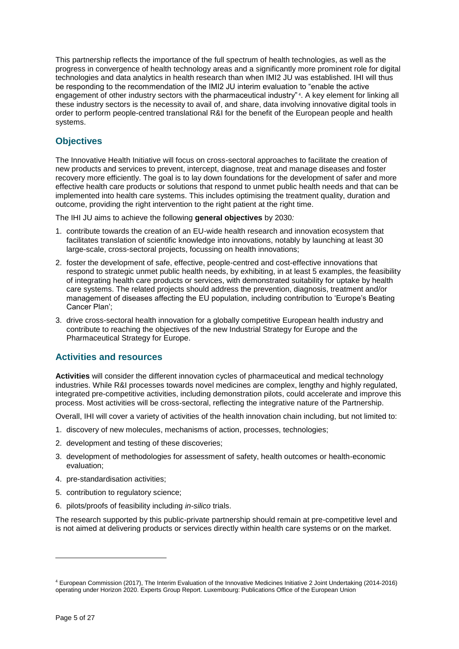This partnership reflects the importance of the full spectrum of health technologies, as well as the progress in convergence of health technology areas and a significantly more prominent role for digital technologies and data analytics in health research than when IMI2 JU was established. IHI will thus be responding to the recommendation of the IMI2 JU interim evaluation to "enable the active engagement of other industry sectors with the pharmaceutical industry"<sup>4</sup>. A key element for linking all these industry sectors is the necessity to avail of, and share, data involving innovative digital tools in order to perform people-centred translational R&I for the benefit of the European people and health systems.

# <span id="page-4-0"></span>**Objectives**

The Innovative Health Initiative will focus on cross-sectoral approaches to facilitate the creation of new products and services to prevent, intercept, diagnose, treat and manage diseases and foster recovery more efficiently. The goal is to lay down foundations for the development of safer and more effective health care products or solutions that respond to unmet public health needs and that can be implemented into health care systems. This includes optimising the treatment quality, duration and outcome, providing the right intervention to the right patient at the right time.

The IHI JU aims to achieve the following **general objectives** by 2030*:*

- 1. contribute towards the creation of an EU-wide health research and innovation ecosystem that facilitates translation of scientific knowledge into innovations, notably by launching at least 30 large-scale, cross-sectoral projects, focussing on health innovations;
- 2. foster the development of safe, effective, people-centred and cost-effective innovations that respond to strategic unmet public health needs, by exhibiting, in at least 5 examples, the feasibility of integrating health care products or services, with demonstrated suitability for uptake by health care systems. The related projects should address the prevention, diagnosis, treatment and/or management of diseases affecting the EU population, including contribution to 'Europe's Beating Cancer Plan';
- 3. drive cross-sectoral health innovation for a globally competitive European health industry and contribute to reaching the objectives of the new Industrial Strategy for Europe and the Pharmaceutical Strategy for Europe.

## <span id="page-4-1"></span>**Activities and resources**

**Activities** will consider the different innovation cycles of pharmaceutical and medical technology industries. While R&I processes towards novel medicines are complex, lengthy and highly regulated, integrated pre-competitive activities, including demonstration pilots, could accelerate and improve this process. Most activities will be cross-sectoral, reflecting the integrative nature of the Partnership.

Overall, IHI will cover a variety of activities of the health innovation chain including, but not limited to:

- 1. discovery of new molecules, mechanisms of action, processes, technologies;
- 2. development and testing of these discoveries;
- 3. development of methodologies for assessment of safety, health outcomes or health-economic evaluation;
- 4. pre-standardisation activities;
- 5. contribution to regulatory science;
- 6. pilots/proofs of feasibility including *in-silico* trials.

The research supported by this public-private partnership should remain at pre-competitive level and is not aimed at delivering products or services directly within health care systems or on the market.

<sup>4</sup> European Commission (2017), The Interim Evaluation of the Innovative Medicines Initiative 2 Joint Undertaking (2014-2016) operating under Horizon 2020. Experts Group Report. Luxembourg: Publications Office of the European Union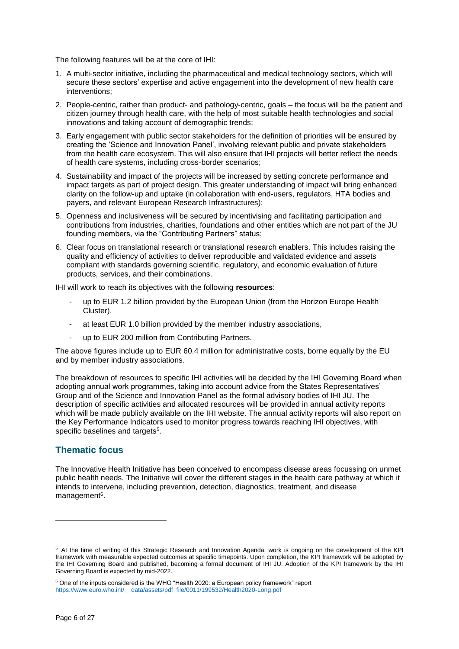The following features will be at the core of IHI:

- 1. A multi-sector initiative, including the pharmaceutical and medical technology sectors, which will secure these sectors' expertise and active engagement into the development of new health care interventions;
- 2. People-centric, rather than product- and pathology-centric, goals the focus will be the patient and citizen journey through health care, with the help of most suitable health technologies and social innovations and taking account of demographic trends;
- 3. Early engagement with public sector stakeholders for the definition of priorities will be ensured by creating the 'Science and Innovation Panel', involving relevant public and private stakeholders from the health care ecosystem. This will also ensure that IHI projects will better reflect the needs of health care systems, including cross-border scenarios;
- 4. Sustainability and impact of the projects will be increased by setting concrete performance and impact targets as part of project design. This greater understanding of impact will bring enhanced clarity on the follow-up and uptake (in collaboration with end-users, regulators, HTA bodies and payers, and relevant European Research Infrastructures);
- 5. Openness and inclusiveness will be secured by incentivising and facilitating participation and contributions from industries, charities, foundations and other entities which are not part of the JU founding members, via the "Contributing Partners" status;
- 6. Clear focus on translational research or translational research enablers. This includes raising the quality and efficiency of activities to deliver reproducible and validated evidence and assets compliant with standards governing scientific, regulatory, and economic evaluation of future products, services, and their combinations.

IHI will work to reach its objectives with the following **resources**:

- up to EUR 1.2 billion provided by the European Union (from the Horizon Europe Health Cluster),
- at least EUR 1.0 billion provided by the member industry associations,
- up to EUR 200 million from Contributing Partners.

The above figures include up to EUR 60.4 million for administrative costs, borne equally by the EU and by member industry associations.

The breakdown of resources to specific IHI activities will be decided by the IHI Governing Board when adopting annual work programmes, taking into account advice from the States Representatives' Group and of the Science and Innovation Panel as the formal advisory bodies of IHI JU. The description of specific activities and allocated resources will be provided in annual activity reports which will be made publicly available on the IHI website. The annual activity reports will also report on the Key Performance Indicators used to monitor progress towards reaching IHI objectives, with specific baselines and targets<sup>5</sup>.

## <span id="page-5-0"></span>**Thematic focus**

The Innovative Health Initiative has been conceived to encompass disease areas focussing on unmet public health needs. The Initiative will cover the different stages in the health care pathway at which it intends to intervene, including prevention, detection, diagnostics, treatment, and disease management<sup>6</sup>.

<sup>5</sup> At the time of writing of this Strategic Research and Innovation Agenda, work is ongoing on the development of the KPI framework with measurable expected outcomes at specific timepoints. Upon completion, the KPI framework will be adopted by the IHI Governing Board and published, becoming a formal document of IHI JU. Adoption of the KPI framework by the IHI Governing Board is expected by mid-2022.

 $6$  One of the inputs considered is the WHO "Health 2020: a European policy framework" report [https://www.euro.who.int/\\_\\_data/assets/pdf\\_file/0011/199532/Health2020-Long.pdf](https://www.euro.who.int/__data/assets/pdf_file/0011/199532/Health2020-Long.pdf)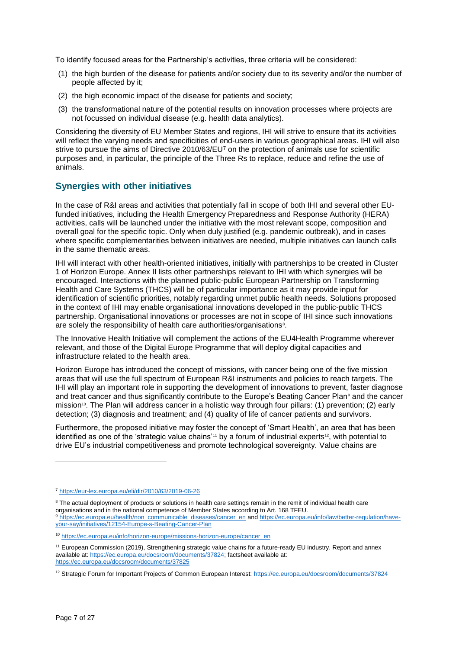To identify focused areas for the Partnership's activities, three criteria will be considered:

- (1) the high burden of the disease for patients and/or society due to its severity and/or the number of people affected by it;
- (2) the high economic impact of the disease for patients and society;
- (3) the transformational nature of the potential results on innovation processes where projects are not focussed on individual disease (e.g. health data analytics).

Considering the diversity of EU Member States and regions, IHI will strive to ensure that its activities will reflect the varying needs and specificities of end-users in various geographical areas. IHI will also strive to pursue the aims of Directive  $2010/63/EU^7$  on the protection of animals use for scientific purposes and, in particular, the principle of the Three Rs to replace, reduce and refine the use of animals.

## <span id="page-6-0"></span>**Synergies with other initiatives**

In the case of R&I areas and activities that potentially fall in scope of both IHI and several other EUfunded initiatives, including the Health Emergency Preparedness and Response Authority (HERA) activities, calls will be launched under the initiative with the most relevant scope, composition and overall goal for the specific topic. Only when duly justified (e.g. pandemic outbreak), and in cases where specific complementarities between initiatives are needed, multiple initiatives can launch calls in the same thematic areas.

IHI will interact with other health-oriented initiatives, initially with partnerships to be created in Cluster 1 of Horizon Europe. Annex II lists other partnerships relevant to IHI with which synergies will be encouraged. Interactions with the planned public-public European Partnership on Transforming Health and Care Systems (THCS) will be of particular importance as it may provide input for identification of scientific priorities, notably regarding unmet public health needs. Solutions proposed in the context of IHI may enable organisational innovations developed in the public-public THCS partnership. Organisational innovations or processes are not in scope of IHI since such innovations are solely the responsibility of health care authorities/organisations<sup>8</sup>.

The Innovative Health Initiative will complement the actions of the EU4Health Programme wherever relevant, and those of the Digital Europe Programme that will deploy digital capacities and infrastructure related to the health area.

Horizon Europe has introduced the concept of missions, with cancer being one of the five mission areas that will use the full spectrum of European R&I instruments and policies to reach targets. The IHI will play an important role in supporting the development of innovations to prevent, faster diagnose and treat cancer and thus significantly contribute to the Europe's Beating Cancer Plan<sup>9</sup> and the cancer mission<sup>10</sup>. The Plan will address cancer in a holistic way through four pillars: (1) prevention; (2) early detection; (3) diagnosis and treatment; and (4) quality of life of cancer patients and survivors.

Furthermore, the proposed initiative may foster the concept of 'Smart Health', an area that has been identified as one of the 'strategic value chains'<sup>11</sup> by a forum of industrial experts<sup>12</sup>, with potential to drive EU's industrial competitiveness and promote technological sovereignty. Value chains are

<sup>7</sup> <https://eur-lex.europa.eu/eli/dir/2010/63/2019-06-26>

<sup>&</sup>lt;sup>8</sup> The actual deployment of products or solutions in health care settings remain in the remit of individual health care organisations and in the national competence of Member States according to Art. 168 TFEU. 9 [https://ec.europa.eu/health/non\\_communicable\\_diseases/cancer\\_en](https://ec.europa.eu/health/non_communicable_diseases/cancer_en) an[d https://ec.europa.eu/info/law/better-regulation/have](https://ec.europa.eu/info/law/better-regulation/have-your-say/initiatives/12154-Europe-s-Beating-Cancer-Plan)[your-say/initiatives/12154-Europe-s-Beating-Cancer-Plan](https://ec.europa.eu/info/law/better-regulation/have-your-say/initiatives/12154-Europe-s-Beating-Cancer-Plan)

<sup>10</sup> [https://ec.europa.eu/info/horizon-europe/missions-horizon-europe/cancer\\_en](https://ec.europa.eu/info/horizon-europe/missions-horizon-europe/cancer_en)

<sup>11</sup> European Commission (2019), Strengthening strategic value chains for a future-ready EU industry. Report and annex available at: [https://ec.europa.eu/docsroom/documents/37824;](https://ec.europa.eu/docsroom/documents/37824) factsheet available at: <https://ec.europa.eu/docsroom/documents/37825>

<sup>12</sup> Strategic Forum for Important Projects of Common European Interest:<https://ec.europa.eu/docsroom/documents/37824>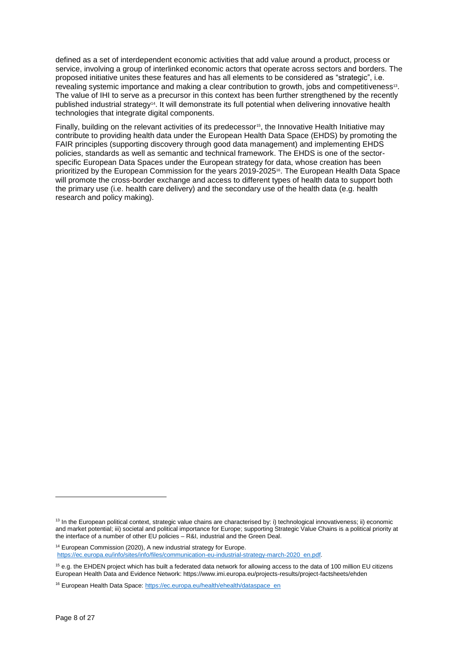defined as a set of interdependent economic activities that add value around a product, process or service, involving a group of interlinked economic actors that operate across sectors and borders. The proposed initiative unites these features and has all elements to be considered as "strategic", i.e. revealing systemic importance and making a clear contribution to growth, jobs and competitiveness<sup>13</sup>. The value of IHI to serve as a precursor in this context has been further strengthened by the recently published industrial strategy14. It will demonstrate its full potential when delivering innovative health technologies that integrate digital components.

Finally, building on the relevant activities of its predecessor<sup>15</sup>, the Innovative Health Initiative may contribute to providing health data under the European Health Data Space (EHDS) by promoting the FAIR principles (supporting discovery through good data management) and implementing EHDS policies, standards as well as semantic and technical framework. The EHDS is one of the sectorspecific European Data Spaces under the European strategy for data, whose creation has been prioritized by the European Commission for the years 2019-202516. The European Health Data Space will promote the cross-border exchange and access to different types of health data to support both the primary use (i.e. health care delivery) and the secondary use of the health data (e.g. health research and policy making).

<sup>14</sup> European Commission (2020), A new industrial strategy for Europe. [https://ec.europa.eu/info/sites/info/files/communication-eu-industrial-strategy-march-2020\\_en.pdf.](https://ec.europa.eu/info/sites/info/files/communication-eu-industrial-strategy-march-2020_en.pdf)

<sup>&</sup>lt;sup>13</sup> In the European political context, strategic value chains are characterised by: i) technological innovativeness; ii) economic and market potential; iii) societal and political importance for Europe; supporting Strategic Value Chains is a political priority at the interface of a number of other EU policies – R&I, industrial and the Green Deal.

<sup>&</sup>lt;sup>15</sup> e.g. the EHDEN project which has built a federated data network for allowing access to the data of 100 million EU citizens European Health Data and Evidence Network: https://www.imi.europa.eu/projects-results/project-factsheets/ehden

<sup>&</sup>lt;sup>16</sup> European Health Data Space[: https://ec.europa.eu/health/ehealth/dataspace\\_en](https://ec.europa.eu/health/ehealth/dataspace_en)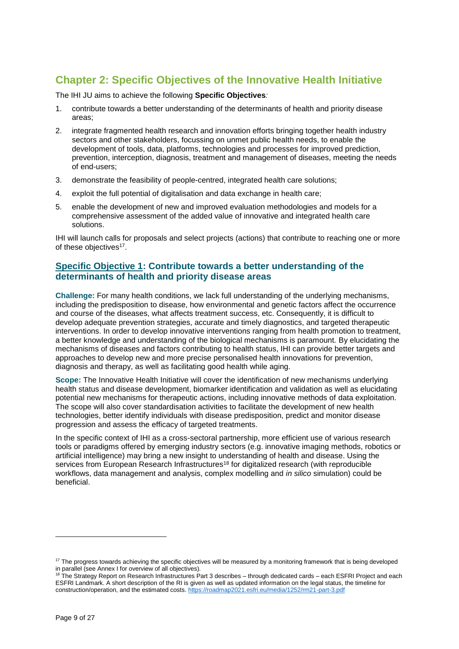# <span id="page-8-0"></span>**Chapter 2: Specific Objectives of the Innovative Health Initiative**

The IHI JU aims to achieve the following **Specific Objectives***:*

- 1. contribute towards a better understanding of the determinants of health and priority disease areas;
- 2. integrate fragmented health research and innovation efforts bringing together health industry sectors and other stakeholders, focussing on unmet public health needs, to enable the development of tools, data, platforms, technologies and processes for improved prediction, prevention, interception, diagnosis, treatment and management of diseases, meeting the needs of end-users;
- 3. demonstrate the feasibility of people-centred, integrated health care solutions;
- 4. exploit the full potential of digitalisation and data exchange in health care;
- 5. enable the development of new and improved evaluation methodologies and models for a comprehensive assessment of the added value of innovative and integrated health care solutions.

IHI will launch calls for proposals and select projects (actions) that contribute to reaching one or more of these objectives<sup>17</sup>.

## <span id="page-8-1"></span>**Specific Objective 1: Contribute towards a better understanding of the determinants of health and priority disease areas**

**Challenge:** For many health conditions, we lack full understanding of the underlying mechanisms, including the predisposition to disease, how environmental and genetic factors affect the occurrence and course of the diseases, what affects treatment success, etc. Consequently, it is difficult to develop adequate prevention strategies, accurate and timely diagnostics, and targeted therapeutic interventions. In order to develop innovative interventions ranging from health promotion to treatment, a better knowledge and understanding of the biological mechanisms is paramount. By elucidating the mechanisms of diseases and factors contributing to health status, IHI can provide better targets and approaches to develop new and more precise personalised health innovations for prevention, diagnosis and therapy, as well as facilitating good health while aging.

**Scope:** The Innovative Health Initiative will cover the identification of new mechanisms underlying health status and disease development, biomarker identification and validation as well as elucidating potential new mechanisms for therapeutic actions, including innovative methods of data exploitation. The scope will also cover standardisation activities to facilitate the development of new health technologies, better identify individuals with disease predisposition, predict and monitor disease progression and assess the efficacy of targeted treatments.

In the specific context of IHI as a cross-sectoral partnership, more efficient use of various research tools or paradigms offered by emerging industry sectors (e.g. innovative imaging methods, robotics or artificial intelligence) may bring a new insight to understanding of health and disease. Using the services from European Research Infrastructures<sup>18</sup> for digitalized research (with reproducible workflows, data management and analysis, complex modelling and *in silico* simulation) could be beneficial.

<sup>&</sup>lt;sup>17</sup> The progress towards achieving the specific objectives will be measured by a monitoring framework that is being developed in parallel (see Annex I for overview of all objectives).

<sup>18</sup> The Strategy Report on Research Infrastructures Part 3 describes – through dedicated cards – each ESFRI Project and each ESFRI Landmark. A short description of the RI is given as well as updated information on the legal status, the timeline for construction/operation, and the estimated costs.<https://roadmap2021.esfri.eu/media/1252/rm21-part-3.pdf>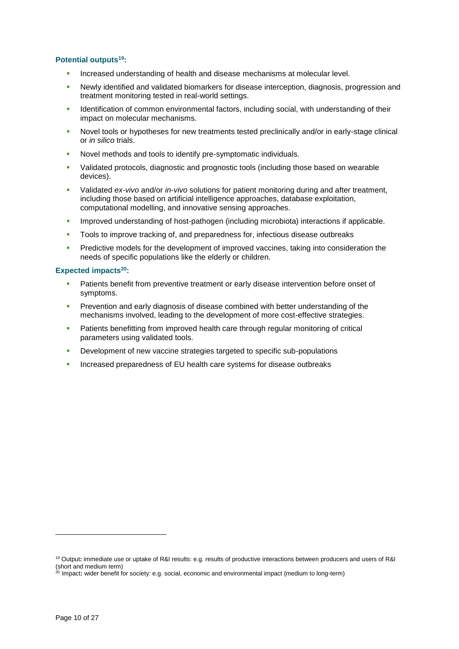#### **Potential outputs<sup>19</sup>:**

- Increased understanding of health and disease mechanisms at molecular level.
- Newly identified and validated biomarkers for disease interception, diagnosis, progression and treatment monitoring tested in real-world settings.
- Identification of common environmental factors, including social, with understanding of their impact on molecular mechanisms.
- Novel tools or hypotheses for new treatments tested preclinically and/or in early-stage clinical or *in silico* trials.
- Novel methods and tools to identify pre-symptomatic individuals.
- Validated protocols, diagnostic and prognostic tools (including those based on wearable devices).
- Validated *ex-vivo* and/or *in-vivo* solutions for patient monitoring during and after treatment, including those based on artificial intelligence approaches, database exploitation, computational modelling, and innovative sensing approaches.
- Improved understanding of host-pathogen (including microbiota) interactions if applicable.
- Tools to improve tracking of, and preparedness for, infectious disease outbreaks
- **Predictive models for the development of improved vaccines, taking into consideration the** needs of specific populations like the elderly or children.

#### **Expected impacts<sup>20</sup>:**

- Patients benefit from preventive treatment or early disease intervention before onset of symptoms.
- Prevention and early diagnosis of disease combined with better understanding of the mechanisms involved, leading to the development of more cost-effective strategies.
- Patients benefitting from improved health care through regular monitoring of critical parameters using validated tools.
- Development of new vaccine strategies targeted to specific sub-populations
- **Increased preparedness of EU health care systems for disease outbreaks**

<sup>19</sup> Output**:** immediate use or uptake of R&I results: e.g. results of productive interactions between producers and users of R&I (short and medium term)

<sup>20</sup> Impact**:** wider benefit for society: e.g. social, economic and environmental impact (medium to long-term)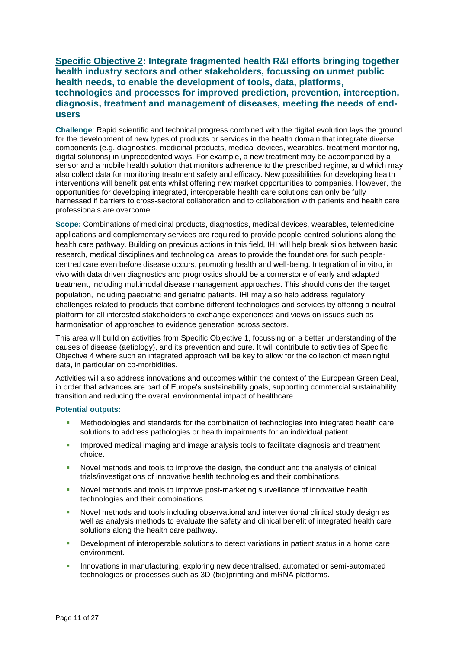<span id="page-10-0"></span>**Specific Objective 2: Integrate fragmented health R&I efforts bringing together health industry sectors and other stakeholders, focussing on unmet public health needs, to enable the development of tools, data, platforms, technologies and processes for improved prediction, prevention, interception, diagnosis, treatment and management of diseases, meeting the needs of endusers** 

**Challenge**: Rapid scientific and technical progress combined with the digital evolution lays the ground for the development of new types of products or services in the health domain that integrate diverse components (e.g. diagnostics, medicinal products, medical devices, wearables, treatment monitoring, digital solutions) in unprecedented ways. For example, a new treatment may be accompanied by a sensor and a mobile health solution that monitors adherence to the prescribed regime, and which may also collect data for monitoring treatment safety and efficacy. New possibilities for developing health interventions will benefit patients whilst offering new market opportunities to companies. However, the opportunities for developing integrated, interoperable health care solutions can only be fully harnessed if barriers to cross-sectoral collaboration and to collaboration with patients and health care professionals are overcome.

**Scope:** Combinations of medicinal products, diagnostics, medical devices, wearables, telemedicine applications and complementary services are required to provide people-centred solutions along the health care pathway. Building on previous actions in this field, IHI will help break silos between basic research, medical disciplines and technological areas to provide the foundations for such peoplecentred care even before disease occurs, promoting health and well-being. Integration of in vitro, in vivo with data driven diagnostics and prognostics should be a cornerstone of early and adapted treatment, including multimodal disease management approaches. This should consider the target population, including paediatric and geriatric patients. IHI may also help address regulatory challenges related to products that combine different technologies and services by offering a neutral platform for all interested stakeholders to exchange experiences and views on issues such as harmonisation of approaches to evidence generation across sectors.

This area will build on activities from Specific Objective 1, focussing on a better understanding of the causes of disease (aetiology), and its prevention and cure. It will contribute to activities of Specific Objective 4 where such an integrated approach will be key to allow for the collection of meaningful data, in particular on co-morbidities.

Activities will also address innovations and outcomes within the context of the European Green Deal, in order that advances are part of Europe's sustainability goals, supporting commercial sustainability transition and reducing the overall environmental impact of healthcare.

#### **Potential outputs:**

- Methodologies and standards for the combination of technologies into integrated health care solutions to address pathologies or health impairments for an individual patient.
- Improved medical imaging and image analysis tools to facilitate diagnosis and treatment choice.
- Novel methods and tools to improve the design, the conduct and the analysis of clinical trials/investigations of innovative health technologies and their combinations.
- Novel methods and tools to improve post-marketing surveillance of innovative health technologies and their combinations.
- Novel methods and tools including observational and interventional clinical study design as well as analysis methods to evaluate the safety and clinical benefit of integrated health care solutions along the health care pathway.
- Development of interoperable solutions to detect variations in patient status in a home care environment.
- Innovations in manufacturing, exploring new decentralised, automated or semi-automated technologies or processes such as 3D-(bio)printing and mRNA platforms.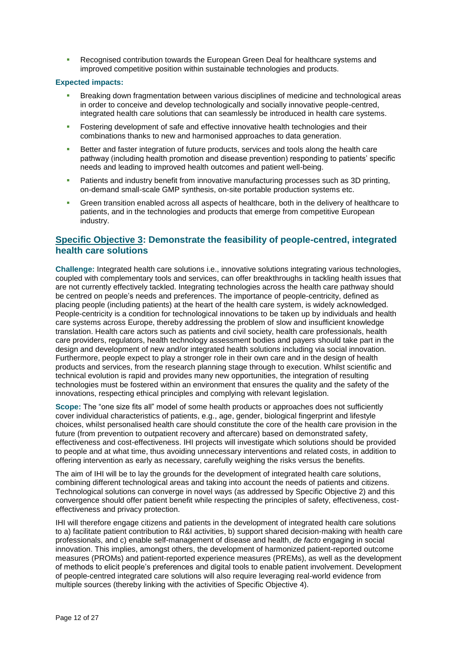Recognised contribution towards the European Green Deal for healthcare systems and improved competitive position within sustainable technologies and products.

#### **Expected impacts:**

- Breaking down fragmentation between various disciplines of medicine and technological areas in order to conceive and develop technologically and socially innovative people-centred, integrated health care solutions that can seamlessly be introduced in health care systems.
- **Fostering development of safe and effective innovative health technologies and their** combinations thanks to new and harmonised approaches to data generation.
- Better and faster integration of future products, services and tools along the health care pathway (including health promotion and disease prevention) responding to patients' specific needs and leading to improved health outcomes and patient well-being.
- Patients and industry benefit from innovative manufacturing processes such as 3D printing, on-demand small-scale GMP synthesis, on-site portable production systems etc.
- Green transition enabled across all aspects of healthcare, both in the delivery of healthcare to patients, and in the technologies and products that emerge from competitive European industry.

# <span id="page-11-0"></span>**Specific Objective 3: Demonstrate the feasibility of people-centred, integrated health care solutions**

**Challenge:** Integrated health care solutions i.e., innovative solutions integrating various technologies, coupled with complementary tools and services, can offer breakthroughs in tackling health issues that are not currently effectively tackled. Integrating technologies across the health care pathway should be centred on people's needs and preferences. The importance of people-centricity, defined as placing people (including patients) at the heart of the health care system, is widely acknowledged. People-centricity is a condition for technological innovations to be taken up by individuals and health care systems across Europe, thereby addressing the problem of slow and insufficient knowledge translation. Health care actors such as patients and civil society, health care professionals, health care providers, regulators, health technology assessment bodies and payers should take part in the design and development of new and/or integrated health solutions including via social innovation. Furthermore, people expect to play a stronger role in their own care and in the design of health products and services, from the research planning stage through to execution. Whilst scientific and technical evolution is rapid and provides many new opportunities, the integration of resulting technologies must be fostered within an environment that ensures the quality and the safety of the innovations, respecting ethical principles and complying with relevant legislation.

**Scope:** The "one size fits all" model of some health products or approaches does not sufficiently cover individual characteristics of patients, e.g., age, gender, biological fingerprint and lifestyle choices, whilst personalised health care should constitute the core of the health care provision in the future (from prevention to outpatient recovery and aftercare) based on demonstrated safety, effectiveness and cost-effectiveness. IHI projects will investigate which solutions should be provided to people and at what time, thus avoiding unnecessary interventions and related costs, in addition to offering intervention as early as necessary, carefully weighing the risks versus the benefits.

The aim of IHI will be to lay the grounds for the development of integrated health care solutions, combining different technological areas and taking into account the needs of patients and citizens. Technological solutions can converge in novel ways (as addressed by Specific Objective 2) and this convergence should offer patient benefit while respecting the principles of safety, effectiveness, costeffectiveness and privacy protection.

IHI will therefore engage citizens and patients in the development of integrated health care solutions to a) facilitate patient contribution to R&I activities, b) support shared decision-making with health care professionals, and c) enable self-management of disease and health, *de facto* engaging in social innovation. This implies, amongst others, the development of harmonized patient-reported outcome measures (PROMs) and patient-reported experience measures (PREMs), as well as the development of methods to elicit people's preferences and digital tools to enable patient involvement. Development of people-centred integrated care solutions will also require leveraging real-world evidence from multiple sources (thereby linking with the activities of Specific Objective 4).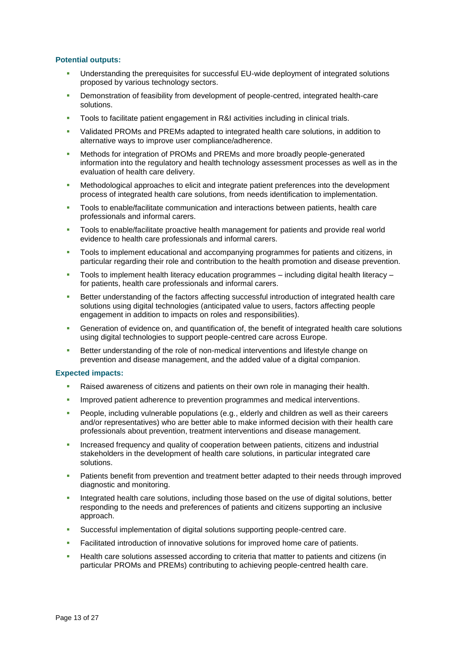#### **Potential outputs:**

- Understanding the prerequisites for successful EU-wide deployment of integrated solutions proposed by various technology sectors.
- Demonstration of feasibility from development of people-centred, integrated health-care solutions.
- Tools to facilitate patient engagement in R&I activities including in clinical trials.
- Validated PROMs and PREMs adapted to integrated health care solutions, in addition to alternative ways to improve user compliance/adherence.
- Methods for integration of PROMs and PREMs and more broadly people-generated information into the regulatory and health technology assessment processes as well as in the evaluation of health care delivery.
- Methodological approaches to elicit and integrate patient preferences into the development process of integrated health care solutions, from needs identification to implementation.
- Tools to enable/facilitate communication and interactions between patients, health care professionals and informal carers.
- Tools to enable/facilitate proactive health management for patients and provide real world evidence to health care professionals and informal carers.
- **Tools to implement educational and accompanying programmes for patients and citizens, in** particular regarding their role and contribution to the health promotion and disease prevention.
- Tools to implement health literacy education programmes including digital health literacy for patients, health care professionals and informal carers.
- Better understanding of the factors affecting successful introduction of integrated health care solutions using digital technologies (anticipated value to users, factors affecting people engagement in addition to impacts on roles and responsibilities).
- Generation of evidence on, and quantification of, the benefit of integrated health care solutions using digital technologies to support people-centred care across Europe.
- Better understanding of the role of non-medical interventions and lifestyle change on prevention and disease management, and the added value of a digital companion.

#### **Expected impacts:**

- Raised awareness of citizens and patients on their own role in managing their health.
- Improved patient adherence to prevention programmes and medical interventions.
- People, including vulnerable populations (e.g., elderly and children as well as their careers and/or representatives) who are better able to make informed decision with their health care professionals about prevention, treatment interventions and disease management.
- Increased frequency and quality of cooperation between patients, citizens and industrial stakeholders in the development of health care solutions, in particular integrated care solutions.
- Patients benefit from prevention and treatment better adapted to their needs through improved diagnostic and monitoring.
- Integrated health care solutions, including those based on the use of digital solutions, better responding to the needs and preferences of patients and citizens supporting an inclusive approach.
- Successful implementation of digital solutions supporting people-centred care.
- Facilitated introduction of innovative solutions for improved home care of patients.
- Health care solutions assessed according to criteria that matter to patients and citizens (in particular PROMs and PREMs) contributing to achieving people-centred health care.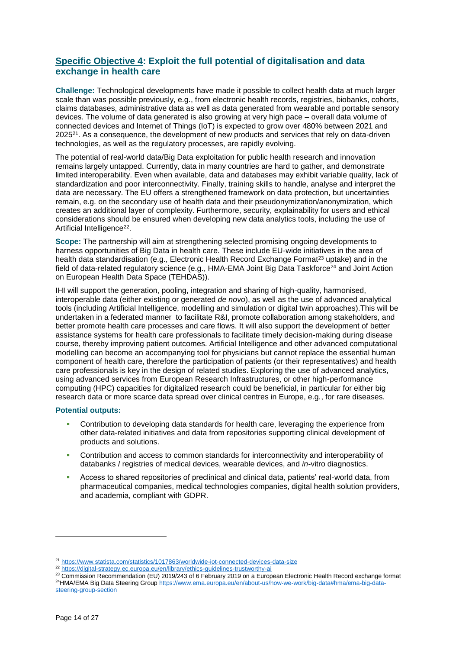# <span id="page-13-0"></span>**Specific Objective 4: Exploit the full potential of digitalisation and data exchange in health care**

**Challenge:** Technological developments have made it possible to collect health data at much larger scale than was possible previously, e.g., from electronic health records, registries, biobanks, cohorts, claims databases, administrative data as well as data generated from wearable and portable sensory devices. The volume of data generated is also growing at very high pace – overall data volume of connected devices and Internet of Things (IoT) is expected to grow over 480% between 2021 and  $2025<sup>21</sup>$ . As a consequence, the development of new products and services that rely on data-driven technologies, as well as the regulatory processes, are rapidly evolving.

The potential of real-world data/Big Data exploitation for public health research and innovation remains largely untapped. Currently, data in many countries are hard to gather, and demonstrate limited interoperability. Even when available, data and databases may exhibit variable quality, lack of standardization and poor interconnectivity. Finally, training skills to handle, analyse and interpret the data are necessary. The EU offers a strengthened framework on data protection, but uncertainties remain, e.g. on the secondary use of health data and their pseudonymization/anonymization, which creates an additional layer of complexity. Furthermore, security, explainability for users and ethical considerations should be ensured when developing new data analytics tools, including the use of Artificial Intelligence<sup>22</sup>.

**Scope:** The partnership will aim at strengthening selected promising ongoing developments to harness opportunities of Big Data in health care. These include EU-wide initiatives in the area of health data standardisation (e.g., Electronic Health Record Exchange Format<sup>23</sup> uptake) and in the field of data-related regulatory science (e.g., HMA-EMA Joint Big Data Taskforce<sup>24</sup> and Joint Action on European Health Data Space (TEHDAS)).

IHI will support the generation, pooling, integration and sharing of high-quality, harmonised, interoperable data (either existing or generated *de novo*), as well as the use of advanced analytical tools (including Artificial Intelligence, modelling and simulation or digital twin approaches).This will be undertaken in a federated manner to facilitate R&I, promote collaboration among stakeholders, and better promote health care processes and care flows. It will also support the development of better assistance systems for health care professionals to facilitate timely decision-making during disease course, thereby improving patient outcomes. Artificial Intelligence and other advanced computational modelling can become an accompanying tool for physicians but cannot replace the essential human component of health care, therefore the participation of patients (or their representatives) and health care professionals is key in the design of related studies. Exploring the use of advanced analytics, using advanced services from European Research Infrastructures, or other high-performance computing (HPC) capacities for digitalized research could be beneficial, in particular for either big research data or more scarce data spread over clinical centres in Europe, e.g., for rare diseases.

#### **Potential outputs:**

- Contribution to developing data standards for health care, leveraging the experience from other data-related initiatives and data from repositories supporting clinical development of products and solutions.
- Contribution and access to common standards for interconnectivity and interoperability of databanks / registries of medical devices, wearable devices, and *in-*vitro diagnostics.
- Access to shared repositories of preclinical and clinical data, patients' real-world data, from pharmaceutical companies, medical technologies companies, digital health solution providers, and academia, compliant with GDPR.

<sup>21</sup> <https://www.statista.com/statistics/1017863/worldwide-iot-connected-devices-data-size>

<sup>22</sup> <https://digital-strategy.ec.europa.eu/en/library/ethics-guidelines-trustworthy-ai>

<sup>&</sup>lt;sup>23</sup> Commission Recommendation (EU) 2019/243 of 6 February 2019 on a European Electronic Health Record exchange format <sup>24</sup>HMA/EMA Big Data Steering Grou[p https://www.ema.europa.eu/en/about-us/how-we-work/big-data#hma/ema-big-data](https://www.ema.europa.eu/en/about-us/how-we-work/big-data#hma/ema-big-data-steering-group-section)[steering-group-section](https://www.ema.europa.eu/en/about-us/how-we-work/big-data#hma/ema-big-data-steering-group-section)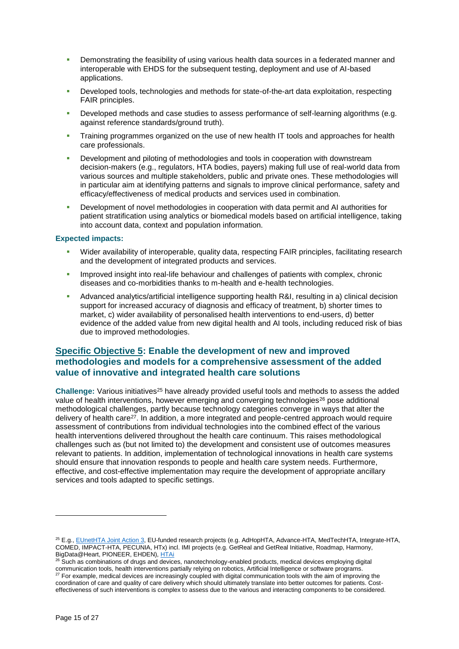- Demonstrating the feasibility of using various health data sources in a federated manner and interoperable with EHDS for the subsequent testing, deployment and use of AI-based applications.
- Developed tools, technologies and methods for state-of-the-art data exploitation, respecting FAIR principles.
- Developed methods and case studies to assess performance of self-learning algorithms (e.g. against reference standards/ground truth).
- Training programmes organized on the use of new health IT tools and approaches for health care professionals.
- Development and piloting of methodologies and tools in cooperation with downstream decision-makers (e.g., regulators, HTA bodies, payers) making full use of real-world data from various sources and multiple stakeholders, public and private ones. These methodologies will in particular aim at identifying patterns and signals to improve clinical performance, safety and efficacy/effectiveness of medical products and services used in combination.
- Development of novel methodologies in cooperation with data permit and AI authorities for patient stratification using analytics or biomedical models based on artificial intelligence, taking into account data, context and population information.

#### **Expected impacts:**

- Wider availability of interoperable, quality data, respecting FAIR principles, facilitating research and the development of integrated products and services.
- Improved insight into real-life behaviour and challenges of patients with complex, chronic diseases and co-morbidities thanks to m-health and e-health technologies.
- Advanced analytics/artificial intelligence supporting health R&I, resulting in a) clinical decision support for increased accuracy of diagnosis and efficacy of treatment, b) shorter times to market, c) wider availability of personalised health interventions to end-users, d) better evidence of the added value from new digital health and AI tools, including reduced risk of bias due to improved methodologies.

# <span id="page-14-0"></span>**Specific Objective 5: Enable the development of new and improved methodologies and models for a comprehensive assessment of the added value of innovative and integrated health care solutions**

**Challenge:** Various initiatives<sup>25</sup> have already provided useful tools and methods to assess the added value of health interventions, however emerging and converging technologies<sup>26</sup> pose additional methodological challenges, partly because technology categories converge in ways that alter the delivery of health care<sup>27</sup>. In addition, a more integrated and people-centred approach would require assessment of contributions from individual technologies into the combined effect of the various health interventions delivered throughout the health care continuum. This raises methodological challenges such as (but not limited to) the development and consistent use of outcomes measures relevant to patients. In addition, implementation of technological innovations in health care systems should ensure that innovation responds to people and health care system needs. Furthermore, effective, and cost-effective implementation may require the development of appropriate ancillary services and tools adapted to specific settings.

<sup>&</sup>lt;sup>25</sup> E.g.[, EUnetHTA Joint Action](https://eunethta.eu/ja3-archive/) 3, EU-funded research projects (e.g. AdHopHTA, Advance-HTA, MedTechHTA, Integrate-HTA, COMED, IMPACT-HTA, PECUNIA, HTx) incl. IMI projects (e.g. GetReal and GetReal Initiative, Roadmap, Harmony, BigData@Heart, PIONEER, EHDEN), [HTAi](https://htai.org/)

<sup>26</sup> Such as combinations of drugs and devices, nanotechnology-enabled products, medical devices employing digital communication tools, health interventions partially relying on robotics, Artificial Intelligence or software programs.  $27$  For example, medical devices are increasingly coupled with digital communication tools with the aim of improving the coordination of care and quality of care delivery which should ultimately translate into better outcomes for patients. Costeffectiveness of such interventions is complex to assess due to the various and interacting components to be considered.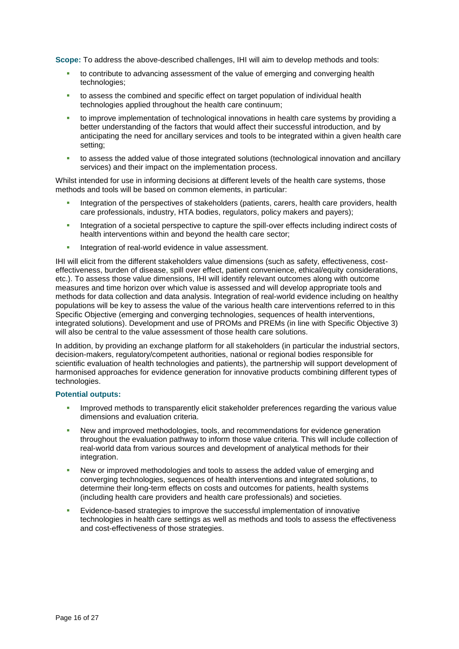**Scope:** To address the above-described challenges, IHI will aim to develop methods and tools:

- to contribute to advancing assessment of the value of emerging and converging health technologies;
- to assess the combined and specific effect on target population of individual health technologies applied throughout the health care continuum;
- to improve implementation of technological innovations in health care systems by providing a better understanding of the factors that would affect their successful introduction, and by anticipating the need for ancillary services and tools to be integrated within a given health care setting;
- to assess the added value of those integrated solutions (technological innovation and ancillary services) and their impact on the implementation process.

Whilst intended for use in informing decisions at different levels of the health care systems, those methods and tools will be based on common elements, in particular:

- Integration of the perspectives of stakeholders (patients, carers, health care providers, health care professionals, industry, HTA bodies, regulators, policy makers and payers);
- Integration of a societal perspective to capture the spill-over effects including indirect costs of health interventions within and beyond the health care sector;
- Integration of real-world evidence in value assessment.

IHI will elicit from the different stakeholders value dimensions (such as safety, effectiveness, costeffectiveness, burden of disease, spill over effect, patient convenience, ethical/equity considerations, etc.). To assess those value dimensions, IHI will identify relevant outcomes along with outcome measures and time horizon over which value is assessed and will develop appropriate tools and methods for data collection and data analysis. Integration of real-world evidence including on healthy populations will be key to assess the value of the various health care interventions referred to in this Specific Objective (emerging and converging technologies, sequences of health interventions, integrated solutions). Development and use of PROMs and PREMs (in line with Specific Objective 3) will also be central to the value assessment of those health care solutions.

In addition, by providing an exchange platform for all stakeholders (in particular the industrial sectors, decision-makers, regulatory/competent authorities, national or regional bodies responsible for scientific evaluation of health technologies and patients), the partnership will support development of harmonised approaches for evidence generation for innovative products combining different types of technologies.

#### **Potential outputs:**

- Improved methods to transparently elicit stakeholder preferences regarding the various value dimensions and evaluation criteria.
- New and improved methodologies, tools, and recommendations for evidence generation throughout the evaluation pathway to inform those value criteria. This will include collection of real-world data from various sources and development of analytical methods for their integration.
- New or improved methodologies and tools to assess the added value of emerging and converging technologies, sequences of health interventions and integrated solutions, to determine their long-term effects on costs and outcomes for patients, health systems (including health care providers and health care professionals) and societies.
- Evidence-based strategies to improve the successful implementation of innovative technologies in health care settings as well as methods and tools to assess the effectiveness and cost-effectiveness of those strategies.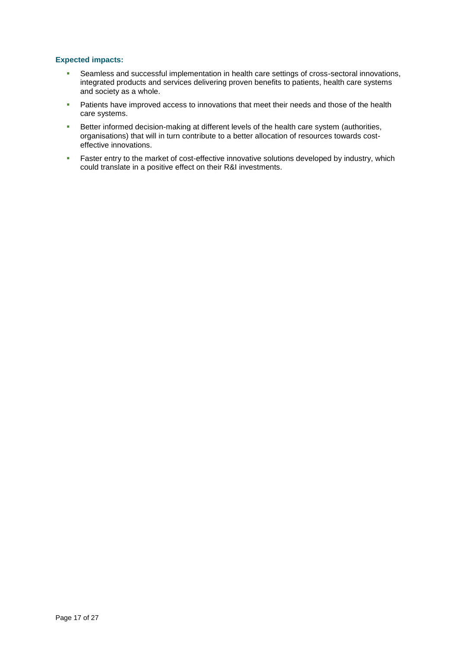#### **Expected impacts:**

- Seamless and successful implementation in health care settings of cross-sectoral innovations, integrated products and services delivering proven benefits to patients, health care systems and society as a whole.
- **Patients have improved access to innovations that meet their needs and those of the health** care systems.
- **Better informed decision-making at different levels of the health care system (authorities,** organisations) that will in turn contribute to a better allocation of resources towards costeffective innovations.
- **Faster entry to the market of cost-effective innovative solutions developed by industry, which** could translate in a positive effect on their R&I investments.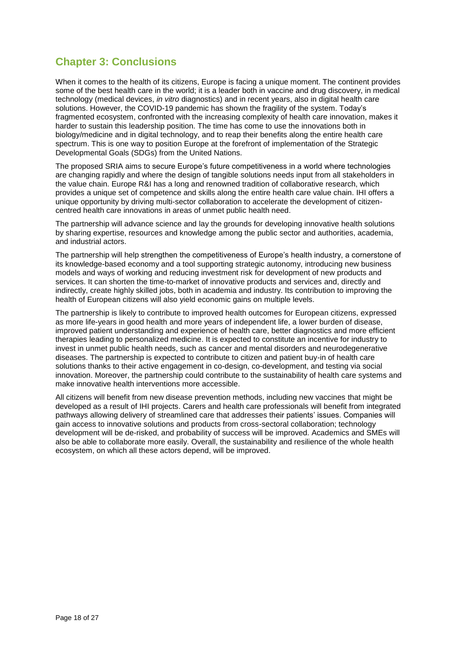# <span id="page-17-0"></span>**Chapter 3: Conclusions**

When it comes to the health of its citizens, Europe is facing a unique moment. The continent provides some of the best health care in the world; it is a leader both in vaccine and drug discovery, in medical technology (medical devices, *in vitro* diagnostics) and in recent years, also in digital health care solutions. However, the COVID-19 pandemic has shown the fragility of the system. Today's fragmented ecosystem, confronted with the increasing complexity of health care innovation, makes it harder to sustain this leadership position. The time has come to use the innovations both in biology/medicine and in digital technology, and to reap their benefits along the entire health care spectrum. This is one way to position Europe at the forefront of implementation of the Strategic Developmental Goals (SDGs) from the United Nations.

The proposed SRIA aims to secure Europe's future competitiveness in a world where technologies are changing rapidly and where the design of tangible solutions needs input from all stakeholders in the value chain. Europe R&I has a long and renowned tradition of collaborative research, which provides a unique set of competence and skills along the entire health care value chain. IHI offers a unique opportunity by driving multi-sector collaboration to accelerate the development of citizencentred health care innovations in areas of unmet public health need.

The partnership will advance science and lay the grounds for developing innovative health solutions by sharing expertise, resources and knowledge among the public sector and authorities, academia, and industrial actors.

The partnership will help strengthen the competitiveness of Europe's health industry, a cornerstone of its knowledge-based economy and a tool supporting strategic autonomy, introducing new business models and ways of working and reducing investment risk for development of new products and services. It can shorten the time-to-market of innovative products and services and, directly and indirectly, create highly skilled jobs, both in academia and industry. Its contribution to improving the health of European citizens will also yield economic gains on multiple levels.

The partnership is likely to contribute to improved health outcomes for European citizens, expressed as more life-years in good health and more years of independent life, a lower burden of disease, improved patient understanding and experience of health care, better diagnostics and more efficient therapies leading to personalized medicine. It is expected to constitute an incentive for industry to invest in unmet public health needs, such as cancer and mental disorders and neurodegenerative diseases. The partnership is expected to contribute to citizen and patient buy-in of health care solutions thanks to their active engagement in co-design, co-development, and testing via social innovation. Moreover, the partnership could contribute to the sustainability of health care systems and make innovative health interventions more accessible.

All citizens will benefit from new disease prevention methods, including new vaccines that might be developed as a result of IHI projects. Carers and health care professionals will benefit from integrated pathways allowing delivery of streamlined care that addresses their patients' issues. Companies will gain access to innovative solutions and products from cross-sectoral collaboration; technology development will be de-risked, and probability of success will be improved. Academics and SMEs will also be able to collaborate more easily. Overall, the sustainability and resilience of the whole health ecosystem, on which all these actors depend, will be improved.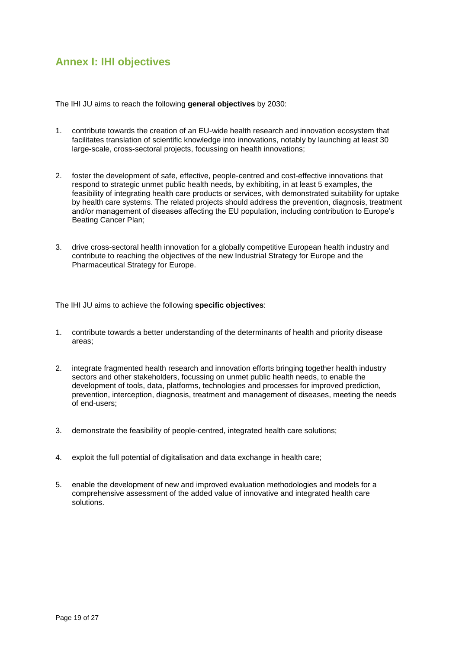# <span id="page-18-0"></span>**Annex I: IHI objectives**

The IHI JU aims to reach the following **general objectives** by 2030:

- 1. contribute towards the creation of an EU-wide health research and innovation ecosystem that facilitates translation of scientific knowledge into innovations, notably by launching at least 30 large-scale, cross-sectoral projects, focussing on health innovations;
- 2. foster the development of safe, effective, people-centred and cost-effective innovations that respond to strategic unmet public health needs, by exhibiting, in at least 5 examples, the feasibility of integrating health care products or services, with demonstrated suitability for uptake by health care systems. The related projects should address the prevention, diagnosis, treatment and/or management of diseases affecting the EU population, including contribution to Europe's Beating Cancer Plan;
- 3. drive cross-sectoral health innovation for a globally competitive European health industry and contribute to reaching the objectives of the new Industrial Strategy for Europe and the Pharmaceutical Strategy for Europe.

The IHI JU aims to achieve the following **specific objectives**:

- 1. contribute towards a better understanding of the determinants of health and priority disease areas;
- 2. integrate fragmented health research and innovation efforts bringing together health industry sectors and other stakeholders, focussing on unmet public health needs, to enable the development of tools, data, platforms, technologies and processes for improved prediction, prevention, interception, diagnosis, treatment and management of diseases, meeting the needs of end-users;
- 3. demonstrate the feasibility of people-centred, integrated health care solutions;
- 4. exploit the full potential of digitalisation and data exchange in health care;
- 5. enable the development of new and improved evaluation methodologies and models for a comprehensive assessment of the added value of innovative and integrated health care solutions.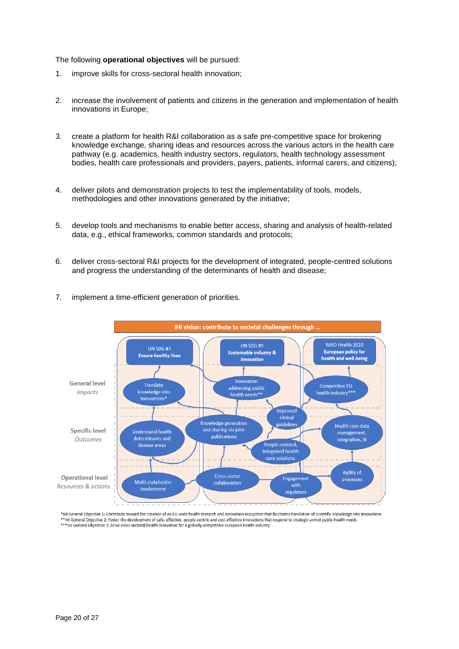#### The following **operational objectives** will be pursued:

- 1. improve skills for cross-sectoral health innovation;
- 2. increase the involvement of patients and citizens in the generation and implementation of health innovations in Europe;
- 3. create a platform for health R&I collaboration as a safe pre-competitive space for brokering knowledge exchange, sharing ideas and resources across the various actors in the health care pathway (e.g. academics, health industry sectors, regulators, health technology assessment bodies, health care professionals and providers, payers, patients, informal carers, and citizens);
- 4. deliver pilots and demonstration projects to test the implementability of tools, models, methodologies and other innovations generated by the initiative;
- 5. develop tools and mechanisms to enable better access, sharing and analysis of health-related data, e.g., ethical frameworks, common standards and protocols;
- 6. deliver cross-sectoral R&I projects for the development of integrated, people-centred solutions and progress the understanding of the determinants of health and disease;
- 7. implement a time-efficient generation of priorities.



\*IHI General Objective 1: Contribute toward the creation of an EU-wide health research and innovation ecosystem that facilitates translation of scientific knowledge into innovations \*IHI General Objective 2: Foster the development of safe, effective, people-centric and cost-effective innovations that respond to strategic unmet public health needs \*\*\*IHI General Objective 3: Drive cross-sectoral health innovation for a globally competitive European health industry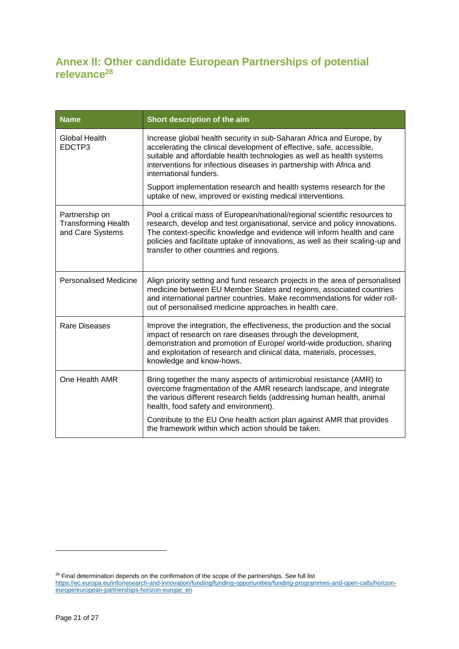# <span id="page-20-0"></span>**Annex II: Other candidate European Partnerships of potential relevance<sup>28</sup>**

| <b>Name</b>                                                      | Short description of the aim                                                                                                                                                                                                                                                                                                                                                                                                                                  |
|------------------------------------------------------------------|---------------------------------------------------------------------------------------------------------------------------------------------------------------------------------------------------------------------------------------------------------------------------------------------------------------------------------------------------------------------------------------------------------------------------------------------------------------|
| Global Health<br>EDCTP3                                          | Increase global health security in sub-Saharan Africa and Europe, by<br>accelerating the clinical development of effective, safe, accessible,<br>suitable and affordable health technologies as well as health systems<br>interventions for infectious diseases in partnership with Africa and<br>international funders.<br>Support implementation research and health systems research for the<br>uptake of new, improved or existing medical interventions. |
|                                                                  |                                                                                                                                                                                                                                                                                                                                                                                                                                                               |
| Partnership on<br><b>Transforming Health</b><br>and Care Systems | Pool a critical mass of European/national/regional scientific resources to<br>research, develop and test organisational, service and policy innovations.<br>The context-specific knowledge and evidence will inform health and care<br>policies and facilitate uptake of innovations, as well as their scaling-up and<br>transfer to other countries and regions.                                                                                             |
| <b>Personalised Medicine</b>                                     | Align priority setting and fund research projects in the area of personalised<br>medicine between EU Member States and regions, associated countries<br>and international partner countries. Make recommendations for wider roll-<br>out of personalised medicine approaches in health care.                                                                                                                                                                  |
| Rare Diseases                                                    | Improve the integration, the effectiveness, the production and the social<br>impact of research on rare diseases through the development,<br>demonstration and promotion of Europe/ world-wide production, sharing<br>and exploitation of research and clinical data, materials, processes,<br>knowledge and know-hows.                                                                                                                                       |
| One Health AMR                                                   | Bring together the many aspects of antimicrobial resistance (AMR) to<br>overcome fragmentation of the AMR research landscape, and integrate<br>the various different research fields (addressing human health, animal<br>health, food safety and environment).                                                                                                                                                                                                |
|                                                                  | Contribute to the EU One health action plan against AMR that provides<br>the framework within which action should be taken.                                                                                                                                                                                                                                                                                                                                   |

 $28$  Final determination depends on the confirmation of the scope of the partnerships. See full list [https://ec.europa.eu/info/research-and-innovation/funding/funding-opportunities/funding-programmes-and-open-calls/horizon](https://ec.europa.eu/info/research-and-innovation/funding/funding-opportunities/funding-programmes-and-open-calls/horizon-europe/european-partnerships-horizon-europe_en)[europe/european-partnerships-horizon-europe\\_en](https://ec.europa.eu/info/research-and-innovation/funding/funding-opportunities/funding-programmes-and-open-calls/horizon-europe/european-partnerships-horizon-europe_en)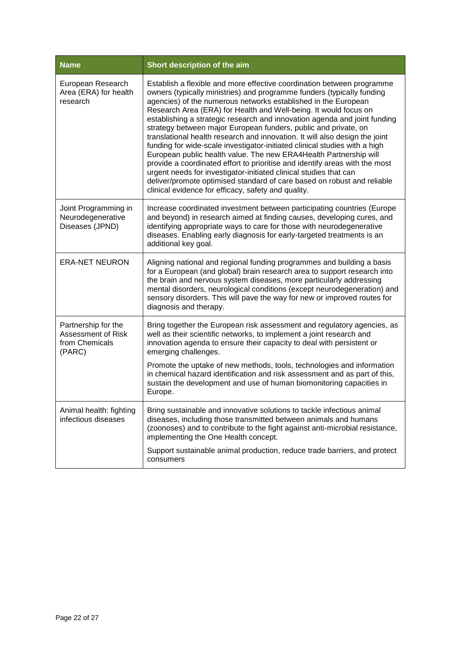| <b>Name</b>                                                           | Short description of the aim                                                                                                                                                                                                                                                                                                                                                                                                                                                                                                                                                                                                                                                                                                                                                                                                                                                                                                                                   |
|-----------------------------------------------------------------------|----------------------------------------------------------------------------------------------------------------------------------------------------------------------------------------------------------------------------------------------------------------------------------------------------------------------------------------------------------------------------------------------------------------------------------------------------------------------------------------------------------------------------------------------------------------------------------------------------------------------------------------------------------------------------------------------------------------------------------------------------------------------------------------------------------------------------------------------------------------------------------------------------------------------------------------------------------------|
| European Research<br>Area (ERA) for health<br>research                | Establish a flexible and more effective coordination between programme<br>owners (typically ministries) and programme funders (typically funding<br>agencies) of the numerous networks established in the European<br>Research Area (ERA) for Health and Well-being. It would focus on<br>establishing a strategic research and innovation agenda and joint funding<br>strategy between major European funders, public and private, on<br>translational health research and innovation. It will also design the joint<br>funding for wide-scale investigator-initiated clinical studies with a high<br>European public health value. The new ERA4Health Partnership will<br>provide a coordinated effort to prioritise and identify areas with the most<br>urgent needs for investigator-initiated clinical studies that can<br>deliver/promote optimised standard of care based on robust and reliable<br>clinical evidence for efficacy, safety and quality. |
| Joint Programming in<br>Neurodegenerative<br>Diseases (JPND)          | Increase coordinated investment between participating countries (Europe<br>and beyond) in research aimed at finding causes, developing cures, and<br>identifying appropriate ways to care for those with neurodegenerative<br>diseases. Enabling early diagnosis for early-targeted treatments is an<br>additional key goal.                                                                                                                                                                                                                                                                                                                                                                                                                                                                                                                                                                                                                                   |
| <b>ERA-NET NEURON</b>                                                 | Aligning national and regional funding programmes and building a basis<br>for a European (and global) brain research area to support research into<br>the brain and nervous system diseases, more particularly addressing<br>mental disorders, neurological conditions (except neurodegeneration) and<br>sensory disorders. This will pave the way for new or improved routes for<br>diagnosis and therapy.                                                                                                                                                                                                                                                                                                                                                                                                                                                                                                                                                    |
| Partnership for the<br>Assessment of Risk<br>from Chemicals<br>(PARC) | Bring together the European risk assessment and regulatory agencies, as<br>well as their scientific networks, to implement a joint research and<br>innovation agenda to ensure their capacity to deal with persistent or<br>emerging challenges.                                                                                                                                                                                                                                                                                                                                                                                                                                                                                                                                                                                                                                                                                                               |
|                                                                       | Promote the uptake of new methods, tools, technologies and information<br>in chemical hazard identification and risk assessment and as part of this,<br>sustain the development and use of human biomonitoring capacities in<br>Europe.                                                                                                                                                                                                                                                                                                                                                                                                                                                                                                                                                                                                                                                                                                                        |
| Animal health: fighting<br>infectious diseases                        | Bring sustainable and innovative solutions to tackle infectious animal<br>diseases, including those transmitted between animals and humans<br>(zoonoses) and to contribute to the fight against anti-microbial resistance,<br>implementing the One Health concept.                                                                                                                                                                                                                                                                                                                                                                                                                                                                                                                                                                                                                                                                                             |
|                                                                       | Support sustainable animal production, reduce trade barriers, and protect<br>consumers                                                                                                                                                                                                                                                                                                                                                                                                                                                                                                                                                                                                                                                                                                                                                                                                                                                                         |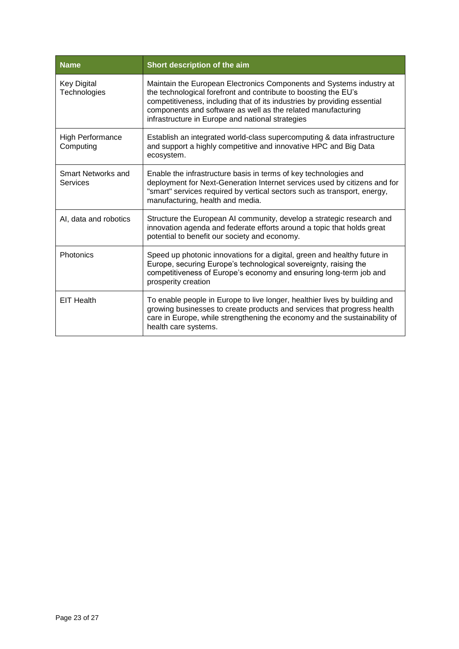| <b>Name</b>                          | Short description of the aim                                                                                                                                                                                                                                                                                                            |
|--------------------------------------|-----------------------------------------------------------------------------------------------------------------------------------------------------------------------------------------------------------------------------------------------------------------------------------------------------------------------------------------|
| <b>Key Digital</b><br>Technologies   | Maintain the European Electronics Components and Systems industry at<br>the technological forefront and contribute to boosting the EU's<br>competitiveness, including that of its industries by providing essential<br>components and software as well as the related manufacturing<br>infrastructure in Europe and national strategies |
| <b>High Performance</b><br>Computing | Establish an integrated world-class supercomputing & data infrastructure<br>and support a highly competitive and innovative HPC and Big Data<br>ecosystem.                                                                                                                                                                              |
| Smart Networks and<br>Services       | Enable the infrastructure basis in terms of key technologies and<br>deployment for Next-Generation Internet services used by citizens and for<br>"smart" services required by vertical sectors such as transport, energy,<br>manufacturing, health and media.                                                                           |
| AI, data and robotics                | Structure the European AI community, develop a strategic research and<br>innovation agenda and federate efforts around a topic that holds great<br>potential to benefit our society and economy.                                                                                                                                        |
| <b>Photonics</b>                     | Speed up photonic innovations for a digital, green and healthy future in<br>Europe, securing Europe's technological sovereignty, raising the<br>competitiveness of Europe's economy and ensuring long-term job and<br>prosperity creation                                                                                               |
| <b>EIT Health</b>                    | To enable people in Europe to live longer, healthier lives by building and<br>growing businesses to create products and services that progress health<br>care in Europe, while strengthening the economy and the sustainability of<br>health care systems.                                                                              |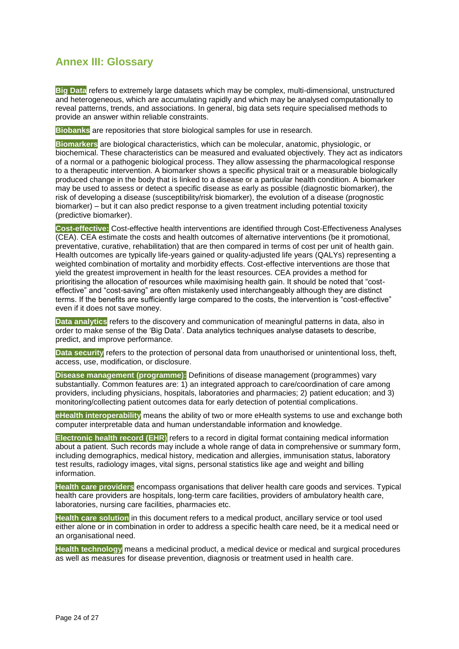# <span id="page-23-0"></span>**Annex III: Glossary**

**Big Data** refers to extremely large datasets which may be complex, multi-dimensional, unstructured and heterogeneous, which are accumulating rapidly and which may be analysed computationally to reveal patterns, trends, and associations. In general, big data sets require specialised methods to provide an answer within reliable constraints.

**Biobanks** are repositories that store biological samples for use in research.

**Biomarkers** are biological characteristics, which can be molecular, anatomic, physiologic, or biochemical. These characteristics can be measured and evaluated objectively. They act as indicators of a normal or a pathogenic biological process. They allow assessing the pharmacological response to a therapeutic intervention. A biomarker shows a specific physical trait or a measurable biologically produced change in the body that is linked to a disease or a particular health condition. A biomarker may be used to assess or detect a specific disease as early as possible (diagnostic biomarker), the risk of developing a disease (susceptibility/risk biomarker), the evolution of a disease (prognostic biomarker) – but it can also predict response to a given treatment including potential toxicity (predictive biomarker).

**Cost-effective:** Cost-effective health interventions are identified through Cost-Effectiveness Analyses (CEA). CEA estimate the costs and health outcomes of alternative interventions (be it promotional, preventative, curative, rehabilitation) that are then compared in terms of cost per unit of health gain. Health outcomes are typically life-years gained or quality-adjusted life years (QALYs) representing a weighted combination of mortality and morbidity effects. Cost-effective interventions are those that yield the greatest improvement in health for the least resources. CEA provides a method for prioritising the allocation of resources while maximising health gain. It should be noted that "costeffective" and "cost-saving" are often mistakenly used interchangeably although they are distinct terms. If the benefits are sufficiently large compared to the costs, the intervention is "cost-effective" even if it does not save money.

**Data analytics** refers to the discovery and communication of meaningful patterns in data, also in order to make sense of the 'Big Data'. Data analytics techniques analyse datasets to describe, predict, and improve performance.

**Data security** refers to the protection of personal data from unauthorised or unintentional loss, theft, access, use, modification, or disclosure.

**Disease management (programme):** Definitions of disease management (programmes) vary substantially. Common features are: 1) an integrated approach to care/coordination of care among providers, including physicians, hospitals, laboratories and pharmacies; 2) patient education; and 3) monitoring/collecting patient outcomes data for early detection of potential complications.

**eHealth interoperability** means the ability of two or more eHealth systems to use and exchange both computer interpretable data and human understandable information and knowledge.

**Electronic health record (EHR)** refers to a record in digital format containing medical information about a patient. Such records may include a whole range of data in comprehensive or summary form, including demographics, medical history, medication and allergies, immunisation status, laboratory test results, radiology images, vital signs, personal statistics like age and weight and billing information.

**Health care providers** encompass organisations that deliver health care goods and services. Typical health care providers are hospitals, long-term care facilities, providers of ambulatory health care, laboratories, nursing care facilities, pharmacies etc.

**Health care solution** in this document refers to a medical product, ancillary service or tool used either alone or in combination in order to address a specific health care need, be it a medical need or an organisational need.

**Health technology** means a medicinal product, a medical device or medical and surgical procedures as well as measures for disease prevention, diagnosis or treatment used in health care.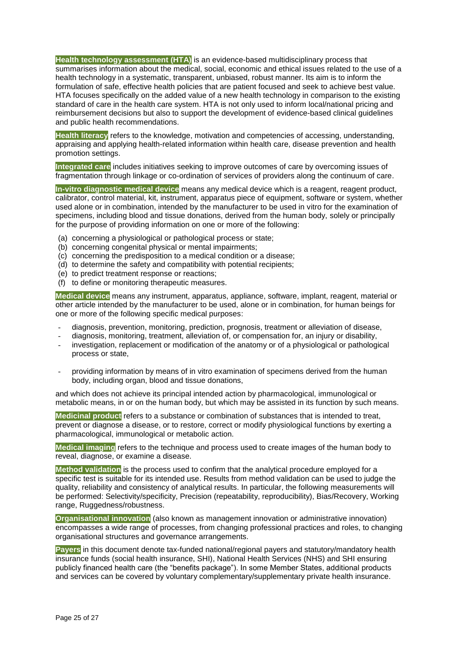**Health technology assessment (HTA)** is an evidence-based multidisciplinary process that summarises information about the medical, social, economic and ethical issues related to the use of a health technology in a systematic, transparent, unbiased, robust manner. Its aim is to inform the formulation of safe, effective health policies that are patient focused and seek to achieve best value. HTA focuses specifically on the added value of a new health technology in comparison to the existing standard of care in the health care system. HTA is not only used to inform local/national pricing and reimbursement decisions but also to support the development of evidence-based clinical guidelines and public health recommendations.

**Health literacy** refers to the knowledge, motivation and competencies of accessing, understanding, appraising and applying health-related information within health care, disease prevention and health promotion settings.

**Integrated care** includes initiatives seeking to improve outcomes of care by overcoming issues of fragmentation through linkage or co-ordination of services of providers along the continuum of care.

**In-vitro diagnostic medical device** means any medical device which is a reagent, reagent product, calibrator, control material, kit, instrument, apparatus piece of equipment, software or system, whether used alone or in combination, intended by the manufacturer to be used in vitro for the examination of specimens, including blood and tissue donations, derived from the human body, solely or principally for the purpose of providing information on one or more of the following:

- (a) concerning a physiological or pathological process or state;
- (b) concerning congenital physical or mental impairments;
- (c) concerning the predisposition to a medical condition or a disease;
- (d) to determine the safety and compatibility with potential recipients;
- (e) to predict treatment response or reactions;
- (f) to define or monitoring therapeutic measures.

**Medical device** means any instrument, apparatus, appliance, software, implant, reagent, material or other article intended by the manufacturer to be used, alone or in combination, for human beings for one or more of the following specific medical purposes:

- diagnosis, prevention, monitoring, prediction, prognosis, treatment or alleviation of disease,
- diagnosis, monitoring, treatment, alleviation of, or compensation for, an injury or disability,
- investigation, replacement or modification of the anatomy or of a physiological or pathological process or state,
- providing information by means of in vitro examination of specimens derived from the human body, including organ, blood and tissue donations,

and which does not achieve its principal intended action by pharmacological, immunological or metabolic means, in or on the human body, but which may be assisted in its function by such means.

**Medicinal product** refers to a substance or combination of substances that is intended to treat, prevent or diagnose a disease, or to restore, correct or modify physiological functions by exerting a pharmacological, immunological or metabolic action.

**Medical imaging** refers to the technique and process used to create images of the human body to reveal, diagnose, or examine a disease.

**Method validation** is the process used to confirm that the analytical procedure employed for a specific test is suitable for its intended use. Results from method validation can be used to judge the quality, reliability and consistency of analytical results. In particular, the following measurements will be performed: Selectivity/specificity, Precision (repeatability, reproducibility), Bias/Recovery, Working range, Ruggedness/robustness.

**Organisational innovation** (also known as management innovation or administrative innovation) encompasses a wide range of processes, from changing professional practices and roles, to changing organisational structures and governance arrangements.

**Payers** in this document denote tax-funded national/regional payers and statutory/mandatory health insurance funds (social health insurance, SHI), National Health Services (NHS) and SHI ensuring publicly financed health care (the "benefits package"). In some Member States, additional products and services can be covered by voluntary complementary/supplementary private health insurance.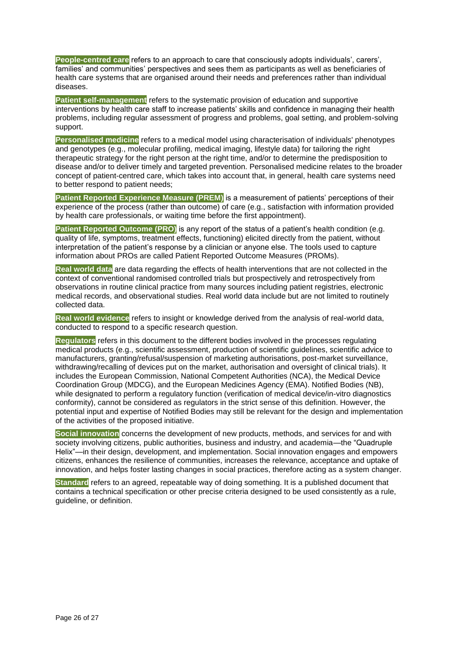**People-centred care** refers to an approach to care that consciously adopts individuals', carers', families' and communities' perspectives and sees them as participants as well as beneficiaries of health care systems that are organised around their needs and preferences rather than individual diseases.

**Patient self-management** refers to the systematic provision of education and supportive interventions by health care staff to increase patients' skills and confidence in managing their health problems, including regular assessment of progress and problems, goal setting, and problem-solving support.

**Personalised medicine** refers to a medical model using characterisation of individuals' phenotypes and genotypes (e.g., molecular profiling, medical imaging, lifestyle data) for tailoring the right therapeutic strategy for the right person at the right time, and/or to determine the predisposition to disease and/or to deliver timely and targeted prevention. Personalised medicine relates to the broader concept of patient-centred care, which takes into account that, in general, health care systems need to better respond to patient needs;

Patient Reported Experience Measure (PREM) is a measurement of patients' perceptions of their experience of the process (rather than outcome) of care (e.g., satisfaction with information provided by health care professionals, or waiting time before the first appointment).

**Patient Reported Outcome (PRO)** is any report of the status of a patient's health condition (e.g. quality of life, symptoms, treatment effects, functioning) elicited directly from the patient, without interpretation of the patient's response by a clinician or anyone else. The tools used to capture information about PROs are called Patient Reported Outcome Measures (PROMs).

**Real world data** are data regarding the effects of health interventions that are not collected in the context of conventional randomised controlled trials but prospectively and retrospectively from observations in routine clinical practice from many sources including patient registries, electronic medical records, and observational studies. Real world data include but are not limited to routinely collected data.

**Real world evidence** refers to insight or knowledge derived from the analysis of real-world data, conducted to respond to a specific research question.

**Regulators** refers in this document to the different bodies involved in the processes regulating medical products (e.g., scientific assessment, production of scientific guidelines, scientific advice to manufacturers, granting/refusal/suspension of marketing authorisations, post-market surveillance, withdrawing/recalling of devices put on the market, authorisation and oversight of clinical trials). It includes the European Commission, National Competent Authorities (NCA), the Medical Device Coordination Group (MDCG), and the European Medicines Agency (EMA). Notified Bodies (NB), while designated to perform a regulatory function (verification of medical device/in-vitro diagnostics conformity), cannot be considered as regulators in the strict sense of this definition. However, the potential input and expertise of Notified Bodies may still be relevant for the design and implementation of the activities of the proposed initiative.

**Social innovation** concerns the development of new products, methods, and services for and with society involving citizens, public authorities, business and industry, and academia—the "Quadruple Helix"—in their design, development, and implementation. Social innovation engages and empowers citizens, enhances the resilience of communities, increases the relevance, acceptance and uptake of innovation, and helps foster lasting changes in social practices, therefore acting as a system changer.

**Standard** refers to an agreed, repeatable way of doing something. It is a published document that contains a technical specification or other precise criteria designed to be used consistently as a rule, guideline, or definition.